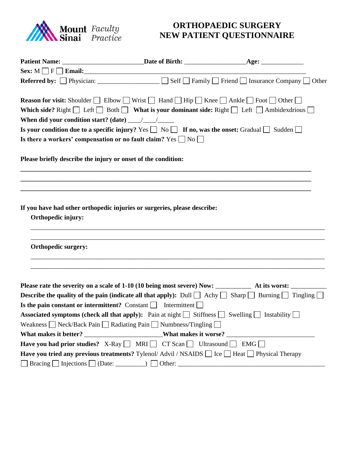

## **ORTHOPAEDIC SURGERY** **NEW PATIENT QUESTIONNAIRE**

|                                                                                                       | <b>Referred by:</b> $\Box$ Physician: $\Box$ $\Box$ Self $\Box$ Family $\Box$ Friend $\Box$ Insurance Company $\Box$ Other                                                                                                                                                |  |
|-------------------------------------------------------------------------------------------------------|---------------------------------------------------------------------------------------------------------------------------------------------------------------------------------------------------------------------------------------------------------------------------|--|
|                                                                                                       | <b>Reason for visit:</b> Shoulder $\Box$ Elbow $\Box$ Wrist $\Box$ Hand $\Box$ Hip $\Box$ Knee $\Box$ Ankle $\Box$ Foot $\Box$ Other $\Box$<br>Which side? Right $\Box$ Left $\Box$ Both $\Box$ What is your dominant side: Right $\Box$ Left $\Box$ Ambidexdrious $\Box$ |  |
| When did your condition start? (date) $\frac{1}{\sqrt{1-\frac{1}{2}}}\frac{1}{\sqrt{1-\frac{1}{2}}}}$ |                                                                                                                                                                                                                                                                           |  |
|                                                                                                       | Is your condition due to a specific injury? Yes $\Box$ No $\Box$ If no, was the onset: Gradual $\Box$ Sudden $\Box$                                                                                                                                                       |  |
|                                                                                                       | Is there a workers' compensation or no fault claim? Yes $\Box$ No $\Box$                                                                                                                                                                                                  |  |
| Please briefly describe the injury or onset of the condition:                                         |                                                                                                                                                                                                                                                                           |  |
|                                                                                                       |                                                                                                                                                                                                                                                                           |  |
|                                                                                                       |                                                                                                                                                                                                                                                                           |  |
| Orthopedic injury:                                                                                    | If you have had other orthopedic injuries or surgeries, please describe:                                                                                                                                                                                                  |  |
| <b>Orthopedic surgery:</b>                                                                            |                                                                                                                                                                                                                                                                           |  |
|                                                                                                       |                                                                                                                                                                                                                                                                           |  |
|                                                                                                       |                                                                                                                                                                                                                                                                           |  |
|                                                                                                       | <b>Describe the quality of the pain (indicate all that apply):</b> Dull $\Box$ Achy $\Box$ Sharp $\Box$ Burning $\Box$ Tingling $\Box$                                                                                                                                    |  |
|                                                                                                       | Is the pain constant or intermittent? Constant $\Box$ Intermittent $\Box$                                                                                                                                                                                                 |  |
|                                                                                                       | Associated symptoms (check all that apply): Pain at night Stiffness Swelling Swelling Strategiers                                                                                                                                                                         |  |
|                                                                                                       | Weakness $\Box$ Neck/Back Pain $\Box$ Radiating Pain $\Box$ Numbness/Tingling $\Box$                                                                                                                                                                                      |  |
|                                                                                                       |                                                                                                                                                                                                                                                                           |  |
|                                                                                                       | <b>Have you had prior studies?</b> X-Ray $\Box$ MRI $\Box$ CT Scan $\Box$ Ultrasound $\Box$ EMG $\Box$                                                                                                                                                                    |  |
|                                                                                                       | <b>Have you tried any previous treatments?</b> Tylenol/Advil / NSAIDS $\Box$ Ice $\Box$ Heat $\Box$ Physical Therapy                                                                                                                                                      |  |
|                                                                                                       |                                                                                                                                                                                                                                                                           |  |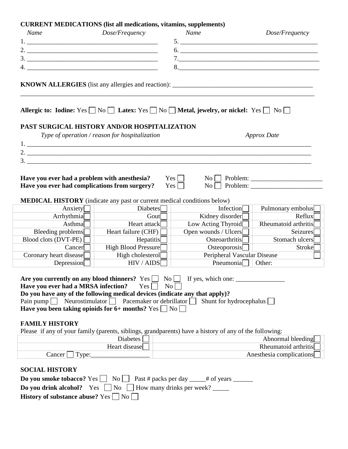| Name                                |               | Dose/Frequency                                                                                                                                                                 | Name                           |                  | Dose/Frequency              |  |
|-------------------------------------|---------------|--------------------------------------------------------------------------------------------------------------------------------------------------------------------------------|--------------------------------|------------------|-----------------------------|--|
|                                     |               |                                                                                                                                                                                | $5.$ $\overline{\phantom{a}}$  |                  |                             |  |
|                                     |               |                                                                                                                                                                                |                                |                  |                             |  |
|                                     |               |                                                                                                                                                                                |                                |                  |                             |  |
|                                     |               |                                                                                                                                                                                | 8.                             |                  |                             |  |
|                                     |               |                                                                                                                                                                                |                                |                  |                             |  |
|                                     |               | Allergic to: Iodine: Yes $\Box$ No $\Box$ Latex: Yes $\Box$ No $\Box$ Metal, jewelry, or nickel: Yes $\Box$ No $\Box$                                                          |                                |                  |                             |  |
|                                     |               | PAST SURGICAL HISTORY AND/OR HOSPITALIZATION<br>Type of operation / reason for hospitalization                                                                                 |                                |                  | <b>Approx Date</b>          |  |
|                                     |               |                                                                                                                                                                                |                                |                  |                             |  |
|                                     |               |                                                                                                                                                                                |                                |                  |                             |  |
|                                     |               |                                                                                                                                                                                |                                |                  |                             |  |
|                                     |               | Have you ever had complications from surgery?<br><b>MEDICAL HISTORY</b> (indicate any past or current medical conditions below)                                                | Yes                            |                  |                             |  |
|                                     | Anxiety       | Diabetes                                                                                                                                                                       |                                | Infection $\Box$ | Pulmonary embolus           |  |
|                                     | Arrhythmia    | Gout                                                                                                                                                                           | Kidney disorder $\Box$         |                  | Reflux                      |  |
|                                     | Asthma $\Box$ | Heart attack $\Box$                                                                                                                                                            | Low Acting Thyroid             |                  | Rheumatoid arthritis        |  |
| Bleeding problems $\Box$            |               | Heart failure (CHF) $\Box$                                                                                                                                                     | Open wounds / Ulcers           |                  | Seizures                    |  |
| Blood clots (DVT-PE) $\Box$         |               | $He$ patitis $\Box$                                                                                                                                                            | Osteoarthritis $\Box$          |                  | Stomach ulcers              |  |
|                                     | $Cancer$      | High Blood Pressure $\Box$                                                                                                                                                     |                                | Osteoporosis     | Stroke                      |  |
| Coronary heart disease              |               | High cholesterol $\Box$                                                                                                                                                        |                                |                  | Peripheral Vascular Disease |  |
|                                     | Depression    | HIV / AIDS                                                                                                                                                                     |                                | Pneumonia        | Other:                      |  |
| Have you ever had a MRSA infection? |               | Are you currently on any blood thinners? $Yes \Box No \Box$ If yes, which one:<br>$Yes \Box$<br>Do you have any of the following medical devices (indicate any that apply)?    | $\rm{No}$                      |                  |                             |  |
|                                     |               | Pain pump Neurostimulator $\Box$ Pacemaker or debrillator $\Box$                                                                                                               | Shunt for hydrocephalus $\Box$ |                  |                             |  |
|                                     |               | Have you been taking opioids for 6+ months? Yes $\Box$ No $\Box$                                                                                                               |                                |                  |                             |  |
| <b>FAMILY HISTORY</b>               |               | Please if any of your family (parents, siblings, grandparents) have a history of any of the following:                                                                         |                                |                  |                             |  |
|                                     |               | <b>Diabetes</b>                                                                                                                                                                |                                |                  | Abnormal bleeding           |  |
|                                     |               | Heart disease                                                                                                                                                                  | Rheumatoid arthritis           |                  |                             |  |
| $Cancer \perp Type:$                |               |                                                                                                                                                                                | Anesthesia complications       |                  |                             |  |
|                                     |               |                                                                                                                                                                                |                                |                  |                             |  |
| <b>SOCIAL HISTORY</b>               |               |                                                                                                                                                                                |                                |                  |                             |  |
|                                     |               |                                                                                                                                                                                |                                |                  |                             |  |
|                                     |               | <b>Do you smoke tobacco?</b> Yes $\Box$ No $\Box$ Past # packs per day $\Box$ # of years $\Box$<br><b>Do you drink alcohol?</b> Yes $\Box$ No $\Box$ How many drinks per week? |                                |                  |                             |  |